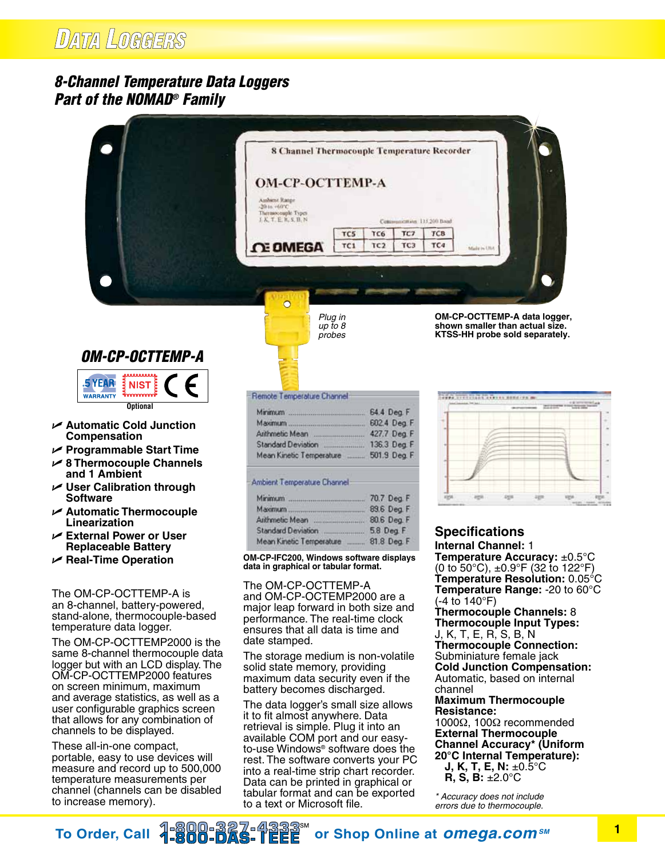## **DATA LOGGERS**

## *8-Channel Temperature Data Loggers Part of the NOMAD® Family*